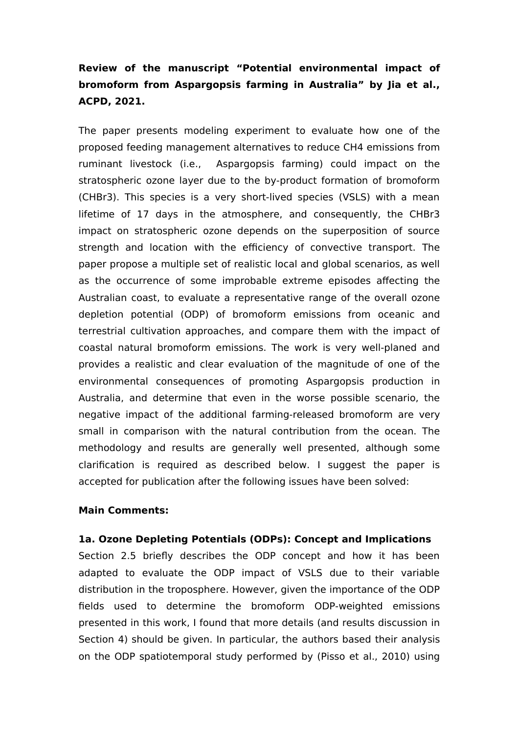# **Review of the manuscript "Potential environmental impact of bromoform from Aspargopsis farming in Australia" by Jia et al., ACPD, 2021.**

The paper presents modeling experiment to evaluate how one of the proposed feeding management alternatives to reduce CH4 emissions from ruminant livestock (i.e., Aspargopsis farming) could impact on the stratospheric ozone layer due to the by-product formation of bromoform (CHBr3). This species is a very short-lived species (VSLS) with a mean lifetime of 17 days in the atmosphere, and consequently, the CHBr3 impact on stratospheric ozone depends on the superposition of source strength and location with the efficiency of convective transport. The paper propose a multiple set of realistic local and global scenarios, as well as the occurrence of some improbable extreme episodes affecting the Australian coast, to evaluate a representative range of the overall ozone depletion potential (ODP) of bromoform emissions from oceanic and terrestrial cultivation approaches, and compare them with the impact of coastal natural bromoform emissions. The work is very well-planed and provides a realistic and clear evaluation of the magnitude of one of the environmental consequences of promoting Aspargopsis production in Australia, and determine that even in the worse possible scenario, the negative impact of the additional farming-released bromoform are very small in comparison with the natural contribution from the ocean. The methodology and results are generally well presented, although some clarification is required as described below. I suggest the paper is accepted for publication after the following issues have been solved:

# **Main Comments:**

# **1a. Ozone Depleting Potentials (ODPs): Concept and Implications**

Section 2.5 briefly describes the ODP concept and how it has been adapted to evaluate the ODP impact of VSLS due to their variable distribution in the troposphere. However, given the importance of the ODP fields used to determine the bromoform ODP-weighted emissions presented in this work, I found that more details (and results discussion in Section 4) should be given. In particular, the authors based their analysis on the ODP spatiotemporal study performed by (Pisso et al., 2010) using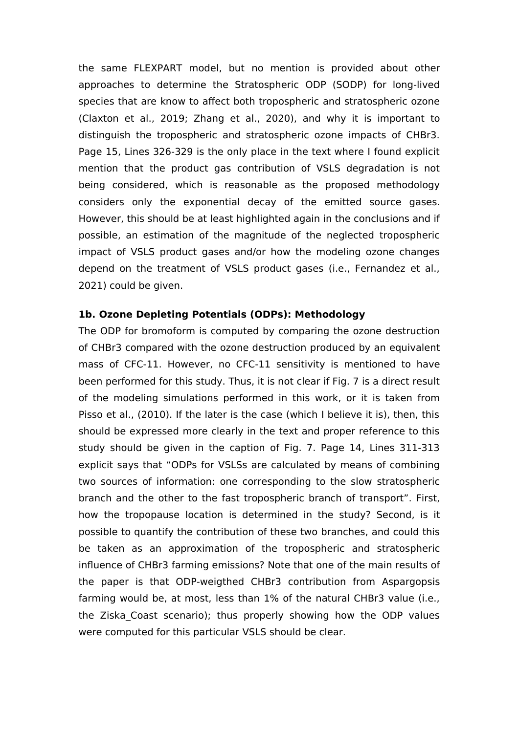the same FLEXPART model, but no mention is provided about other approaches to determine the Stratospheric ODP (SODP) for long-lived species that are know to affect both tropospheric and stratospheric ozone (Claxton et al., 2019; Zhang et al., 2020), and why it is important to distinguish the tropospheric and stratospheric ozone impacts of CHBr3. Page 15, Lines 326-329 is the only place in the text where I found explicit mention that the product gas contribution of VSLS degradation is not being considered, which is reasonable as the proposed methodology considers only the exponential decay of the emitted source gases. However, this should be at least highlighted again in the conclusions and if possible, an estimation of the magnitude of the neglected tropospheric impact of VSLS product gases and/or how the modeling ozone changes depend on the treatment of VSLS product gases (i.e., Fernandez et al., 2021) could be given.

# **1b. Ozone Depleting Potentials (ODPs): Methodology**

The ODP for bromoform is computed by comparing the ozone destruction of CHBr3 compared with the ozone destruction produced by an equivalent mass of CFC-11. However, no CFC-11 sensitivity is mentioned to have been performed for this study. Thus, it is not clear if Fig. 7 is a direct result of the modeling simulations performed in this work, or it is taken from Pisso et al., (2010). If the later is the case (which I believe it is), then, this should be expressed more clearly in the text and proper reference to this study should be given in the caption of Fig. 7. Page 14, Lines 311-313 explicit says that "ODPs for VSLSs are calculated by means of combining two sources of information: one corresponding to the slow stratospheric branch and the other to the fast tropospheric branch of transport". First, how the tropopause location is determined in the study? Second, is it possible to quantify the contribution of these two branches, and could this be taken as an approximation of the tropospheric and stratospheric influence of CHBr3 farming emissions? Note that one of the main results of the paper is that ODP-weigthed CHBr3 contribution from Aspargopsis farming would be, at most, less than 1% of the natural CHBr3 value (i.e., the Ziska\_Coast scenario); thus properly showing how the ODP values were computed for this particular VSLS should be clear.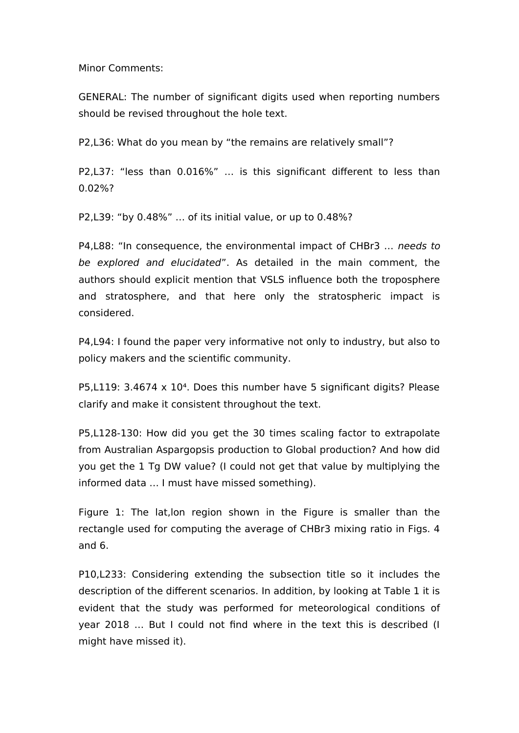Minor Comments:

GENERAL: The number of significant digits used when reporting numbers should be revised throughout the hole text.

P2,L36: What do you mean by "the remains are relatively small"?

P2,L37: "less than 0.016%" … is this significant different to less than 0.02%?

P2,L39: "by 0.48%" … of its initial value, or up to 0.48%?

P4,L88: "In consequence, the environmental impact of CHBr3 … needs to be explored and elucidated". As detailed in the main comment, the authors should explicit mention that VSLS influence both the troposphere and stratosphere, and that here only the stratospheric impact is considered.

P4,L94: I found the paper very informative not only to industry, but also to policy makers and the scientific community.

P5,L119: 3.4674 x 10<sup>4</sup>. Does this number have 5 significant digits? Please clarify and make it consistent throughout the text.

P5,L128-130: How did you get the 30 times scaling factor to extrapolate from Australian Aspargopsis production to Global production? And how did you get the 1 Tg DW value? (I could not get that value by multiplying the informed data … I must have missed something).

Figure 1: The lat,lon region shown in the Figure is smaller than the rectangle used for computing the average of CHBr3 mixing ratio in Figs. 4 and 6.

P10,L233: Considering extending the subsection title so it includes the description of the different scenarios. In addition, by looking at Table 1 it is evident that the study was performed for meteorological conditions of year 2018 … But I could not find where in the text this is described (I might have missed it).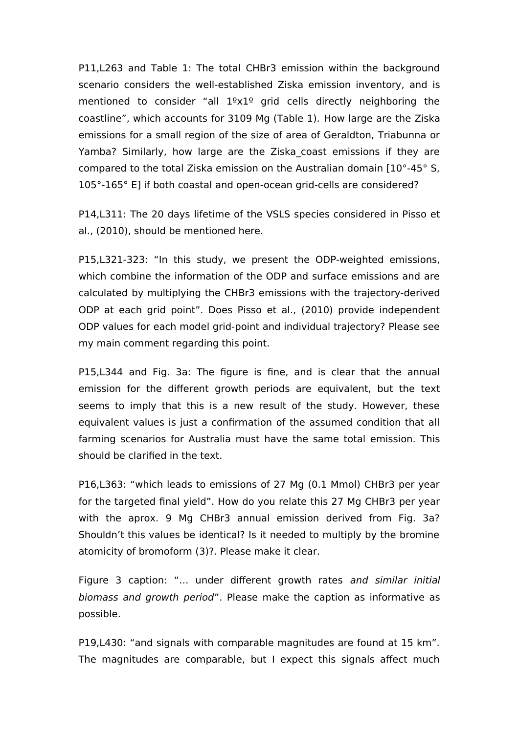P11,L263 and Table 1: The total CHBr3 emission within the background scenario considers the well-established Ziska emission inventory, and is mentioned to consider "all 1ºx1º grid cells directly neighboring the coastline", which accounts for 3109 Mg (Table 1). How large are the Ziska emissions for a small region of the size of area of Geraldton, Triabunna or Yamba? Similarly, how large are the Ziska coast emissions if they are compared to the total Ziska emission on the Australian domain [10°-45° S, 105°-165° E] if both coastal and open-ocean grid-cells are considered?

P14,L311: The 20 days lifetime of the VSLS species considered in Pisso et al., (2010), should be mentioned here.

P15,L321-323: "In this study, we present the ODP-weighted emissions, which combine the information of the ODP and surface emissions and are calculated by multiplying the CHBr3 emissions with the trajectory-derived ODP at each grid point". Does Pisso et al., (2010) provide independent ODP values for each model grid-point and individual trajectory? Please see my main comment regarding this point.

P15,L344 and Fig. 3a: The figure is fine, and is clear that the annual emission for the different growth periods are equivalent, but the text seems to imply that this is a new result of the study. However, these equivalent values is just a confirmation of the assumed condition that all farming scenarios for Australia must have the same total emission. This should be clarified in the text.

P16,L363: "which leads to emissions of 27 Mg (0.1 Mmol) CHBr3 per year for the targeted final yield". How do you relate this 27 Mg CHBr3 per year with the aprox. 9 Mg CHBr3 annual emission derived from Fig. 3a? Shouldn't this values be identical? Is it needed to multiply by the bromine atomicity of bromoform (3)?. Please make it clear.

Figure 3 caption: "… under different growth rates and similar initial biomass and growth period". Please make the caption as informative as possible.

P19,L430: "and signals with comparable magnitudes are found at 15 km". The magnitudes are comparable, but I expect this signals affect much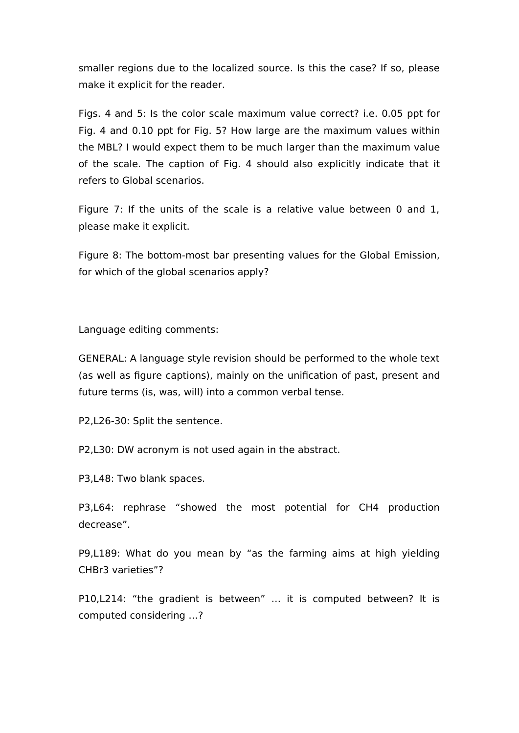smaller regions due to the localized source. Is this the case? If so, please make it explicit for the reader.

Figs. 4 and 5: Is the color scale maximum value correct? i.e. 0.05 ppt for Fig. 4 and 0.10 ppt for Fig. 5? How large are the maximum values within the MBL? I would expect them to be much larger than the maximum value of the scale. The caption of Fig. 4 should also explicitly indicate that it refers to Global scenarios.

Figure 7: If the units of the scale is a relative value between 0 and 1, please make it explicit.

Figure 8: The bottom-most bar presenting values for the Global Emission, for which of the global scenarios apply?

Language editing comments:

GENERAL: A language style revision should be performed to the whole text (as well as figure captions), mainly on the unification of past, present and future terms (is, was, will) into a common verbal tense.

P2,L26-30: Split the sentence.

P2,L30: DW acronym is not used again in the abstract.

P3,L48: Two blank spaces.

P3,L64: rephrase "showed the most potential for CH4 production decrease".

P9,L189: What do you mean by "as the farming aims at high yielding CHBr3 varieties"?

P10,L214: "the gradient is between" … it is computed between? It is computed considering …?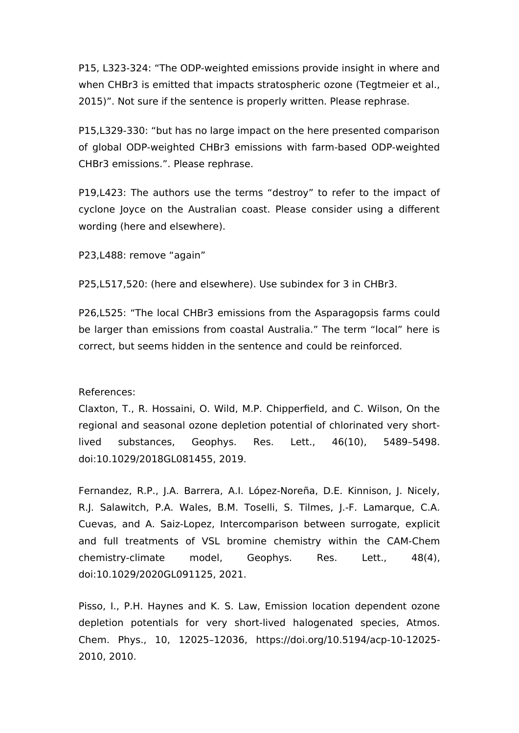P15, L323-324: "The ODP-weighted emissions provide insight in where and when CHBr3 is emitted that impacts stratospheric ozone (Tegtmeier et al., 2015)". Not sure if the sentence is properly written. Please rephrase.

P15,L329-330: "but has no large impact on the here presented comparison of global ODP-weighted CHBr3 emissions with farm-based ODP-weighted CHBr3 emissions.". Please rephrase.

P19,L423: The authors use the terms "destroy" to refer to the impact of cyclone Joyce on the Australian coast. Please consider using a different wording (here and elsewhere).

P23,L488: remove "again"

P25,L517,520: (here and elsewhere). Use subindex for 3 in CHBr3.

P26,L525: "The local CHBr3 emissions from the Asparagopsis farms could be larger than emissions from coastal Australia." The term "local" here is correct, but seems hidden in the sentence and could be reinforced.

# References:

Claxton, T., R. Hossaini, O. Wild, M.P. Chipperfield, and C. Wilson, On the regional and seasonal ozone depletion potential of chlorinated very shortlived substances, Geophys. Res. Lett., 46(10), 5489–5498. doi:10.1029/2018GL081455, 2019.

Fernandez, R.P., J.A. Barrera, A.I. López-Noreña, D.E. Kinnison, J. Nicely, R.J. Salawitch, P.A. Wales, B.M. Toselli, S. Tilmes, J.-F. Lamarque, C.A. Cuevas, and A. Saiz-Lopez, Intercomparison between surrogate, explicit and full treatments of VSL bromine chemistry within the CAM-Chem chemistry-climate model, Geophys. Res. Lett., 48(4), doi:10.1029/2020GL091125, 2021.

Pisso, I., P.H. Haynes and K. S. Law, Emission location dependent ozone depletion potentials for very short-lived halogenated species, Atmos. Chem. Phys., 10, 12025–12036, https://doi.org/10.5194/acp-10-12025- 2010, 2010.